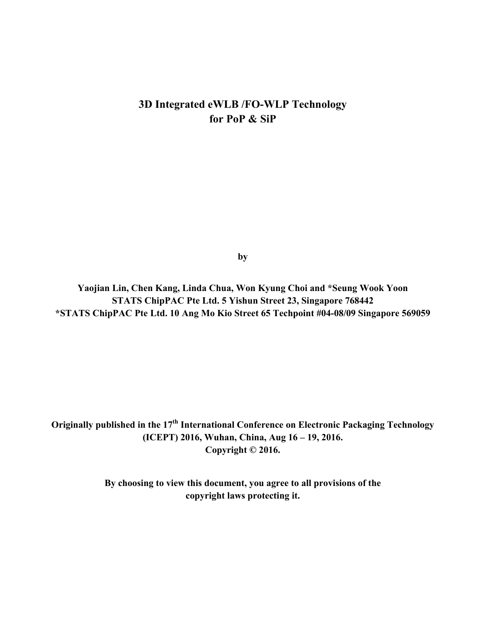# **3D Integrated eWLB /FO-WLP Technology for PoP & SiP**

**by**

**Yaojian Lin, Chen Kang, Linda Chua, Won Kyung Choi and \*Seung Wook Yoon STATS ChipPAC Pte Ltd. 5 Yishun Street 23, Singapore 768442 \*STATS ChipPAC Pte Ltd. 10 Ang Mo Kio Street 65 Techpoint #04-08/09 Singapore 569059** 

**Originally published in the 17th International Conference on Electronic Packaging Technology (ICEPT) 2016, Wuhan, China, Aug 16 – 19, 2016. Copyright © 2016.** 

> **By choosing to view this document, you agree to all provisions of the copyright laws protecting it.**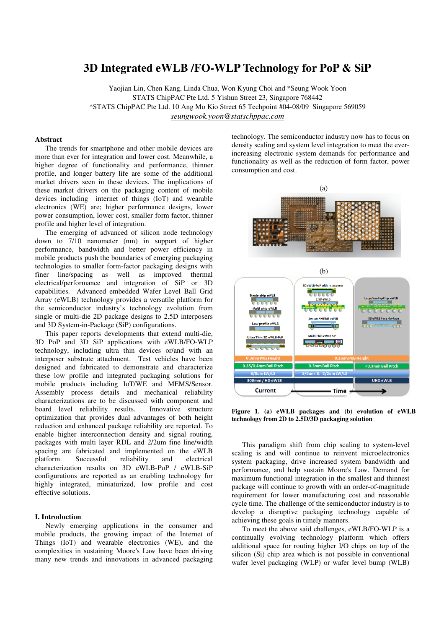# **3D Integrated eWLB /FO-WLP Technology for PoP & SiP**

Yaojian Lin, Chen Kang, Linda Chua, Won Kyung Choi and \*Seung Wook Yoon STATS ChipPAC Pte Ltd. 5 Yishun Street 23, Singapore 768442 \*STATS ChipPAC Pte Ltd. 10 Ang Mo Kio Street 65 Techpoint #04-08/09 Singapore 569059 *seungwook.yoon@statschppac.com*

#### **Abstract**

The trends for smartphone and other mobile devices are more than ever for integration and lower cost. Meanwhile, a higher degree of functionality and performance, thinner profile, and longer battery life are some of the additional market drivers seen in these devices. The implications of these market drivers on the packaging content of mobile devices including internet of things (IoT) and wearable electronics (WE) are; higher performance designs, lower power consumption, lower cost, smaller form factor, thinner profile and higher level of integration.

The emerging of advanced of silicon node technology down to 7/10 nanometer (nm) in support of higher performance, bandwidth and better power efficiency in mobile products push the boundaries of emerging packaging technologies to smaller form-factor packaging designs with finer line/spacing as well as improved thermal electrical/performance and integration of SiP or 3D capabilities. Advanced embedded Wafer Level Ball Grid Array (eWLB) technology provides a versatile platform for the semiconductor industry's technology evolution from single or multi-die 2D package designs to 2.5D interposers and 3D System-in-Package (SiP) configurations.

This paper reports developments that extend multi-die, 3D PoP and 3D SiP applications with eWLB/FO-WLP technology, including ultra thin devices or/and with an interposer substrate attachment. Test vehicles have been designed and fabricated to demonstrate and characterize these low profile and integrated packaging solutions for mobile products including IoT/WE and MEMS/Sensor. Assembly process details and mechanical reliability characterizations are to be discussed with component and board level reliability results. Innovative structure optimization that provides dual advantages of both height reduction and enhanced package reliability are reported. To enable higher interconnection density and signal routing, packages with multi layer RDL and 2/2um fine line/width spacing are fabricated and implemented on the eWLB platform. Successful reliability and electrical characterization results on 3D eWLB-PoP / eWLB-SiP configurations are reported as an enabling technology for highly integrated, miniaturized, low profile and cost effective solutions.

#### **I. Introduction**

Newly emerging applications in the consumer and mobile products, the growing impact of the Internet of Things (IoT) and wearable electronics (WE), and the complexities in sustaining Moore's Law have been driving many new trends and innovations in advanced packaging

technology. The semiconductor industry now has to focus on density scaling and system level integration to meet the everincreasing electronic system demands for performance and functionality as well as the reduction of form factor, power consumption and cost.



**Figure 1. (a) eWLB packages and (b) evolution of eWLB technology from 2D to 2.5D/3D packaging solution** 

**Time** 

**Current** 

This paradigm shift from chip scaling to system-level scaling is and will continue to reinvent microelectronics system packaging, drive increased system bandwidth and performance, and help sustain Moore's Law. Demand for maximum functional integration in the smallest and thinnest package will continue to growth with an order-of-magnitude requirement for lower manufacturing cost and reasonable cycle time. The challenge of the semiconductor industry is to develop a disruptive packaging technology capable of achieving these goals in timely manners.

To meet the above said challenges, eWLB/FO-WLP is a continually evolving technology platform which offers additional space for routing higher I/O chips on top of the silicon (Si) chip area which is not possible in conventional wafer level packaging (WLP) or wafer level bump (WLB)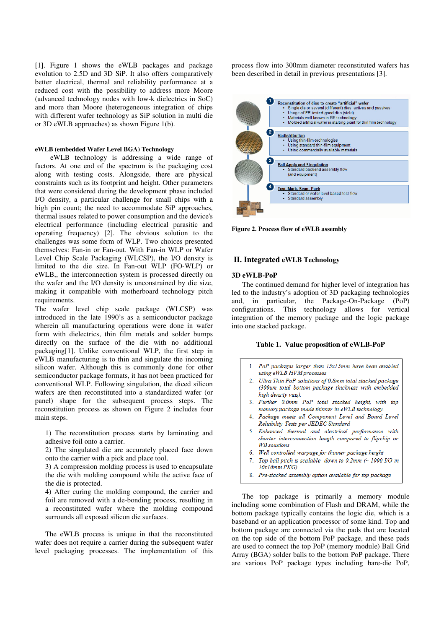[1]. Figure 1 shows the eWLB packages and package evolution to 2.5D and 3D SiP. It also offers comparatively better electrical, thermal and reliability performance at a reduced cost with the possibility to address more Moore (advanced technology nodes with low-k dielectrics in SoC) and more than Moore (heterogeneous integration of chips with different wafer technology as SiP solution in multi die or 3D eWLB approaches) as shown Figure 1(b).

### **eWLB (embedded Wafer Level BGA) Technology**

 eWLB technology is addressing a wide range of factors. At one end of the spectrum is the packaging cost along with testing costs. Alongside, there are physical constraints such as its footprint and height. Other parameters that were considered during the development phase included I/O density, a particular challenge for small chips with a high pin count; the need to accommodate SiP approaches, thermal issues related to power consumption and the device's electrical performance (including electrical parasitic and operating frequency) [2]. The obvious solution to the challenges was some form of WLP. Two choices presented themselves: Fan-in or Fan-out. With Fan-in WLP or Wafer Level Chip Scale Packaging (WLCSP), the I/O density is limited to the die size. In Fan-out WLP (FO-WLP) or eWLB,, the interconnection system is processed directly on the wafer and the I/O density is unconstrained by die size, making it compatible with motherboard technology pitch requirements.

The wafer level chip scale package (WLCSP) was introduced in the late 1990's as a semiconductor package wherein all manufacturing operations were done in wafer form with dielectrics, thin film metals and solder bumps directly on the surface of the die with no additional packaging[1]. Unlike conventional WLP, the first step in eWLB manufacturing is to thin and singulate the incoming silicon wafer. Although this is commonly done for other semiconductor package formats, it has not been practiced for conventional WLP. Following singulation, the diced silicon wafers are then reconstituted into a standardized wafer (or panel) shape for the subsequent process steps. The reconstitution process as shown on Figure 2 includes four main steps.

1) The reconstitution process starts by laminating and adhesive foil onto a carrier.

2) The singulated die are accurately placed face down onto the carrier with a pick and place tool.

3) A compression molding process is used to encapsulate the die with molding compound while the active face of the die is protected.

4) After curing the molding compound, the carrier and foil are removed with a de-bonding process, resulting in a reconstituted wafer where the molding compound surrounds all exposed silicon die surfaces.

The eWLB process is unique in that the reconstituted wafer does not require a carrier during the subsequent wafer level packaging processes. The implementation of this

process flow into 300mm diameter reconstituted wafers has been described in detail in previous presentations [3].



**Figure 2. Process flow of eWLB assembly**

#### **II. Integrated eWLB Technology**

# **3D eWLB-PoP**

The continued demand for higher level of integration has led to the industry's adoption of 3D packaging technologies and, in particular, the Package-On-Package (PoP) configurations. This technology allows for vertical integration of the memory package and the logic package into one stacked package.

#### **Table 1. Value proposition of eWLB-PoP**

- 1. PoP packages larger than 15x15mm have been enabled using eWLB HVM processes
- 2. Ultra Thin PoP solutions of 0.8mm total stacked package (300um total bottom package thickness with embedded high density vias).
- 3. Further 0.6mm PoP total stacked height, with top memory package made thinner in eWLB technology.
- 4. Package meets all Component Level and Board Level Reliability Tests per JEDEC Standard
- 5. Enhanced thermal and electrical performance with shorter interconnection length compared to flipchip or **WB** solutions
- Well controlled warpage for thinner package height  $6.$
- Top ball pitch is scalable down to  $0.2$ mm (~ 1000 I/O in 7.  $16x16mm$   $PKG)$
- 8. Pre-stacked assembly option available for top package

The top package is primarily a memory module including some combination of Flash and DRAM, while the bottom package typically contains the logic die, which is a baseband or an application processor of some kind. Top and bottom package are connected via the pads that are located on the top side of the bottom PoP package, and these pads are used to connect the top PoP (memory module) Ball Grid Array (BGA) solder balls to the bottom PoP package. There are various PoP package types including bare-die PoP,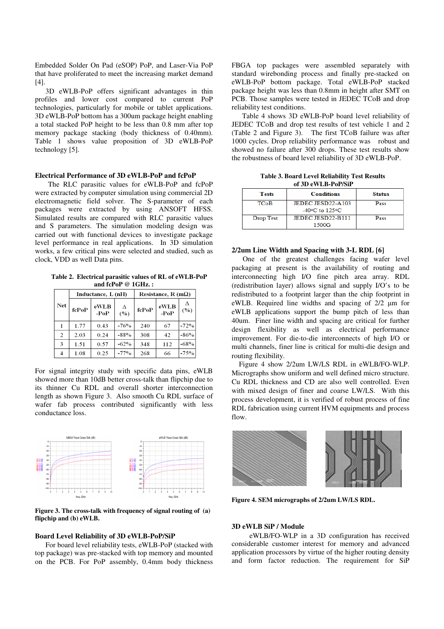Embedded Solder On Pad (eSOP) PoP, and Laser-Via PoP that have proliferated to meet the increasing market demand [4].

3D eWLB-PoP offers significant advantages in thin profiles and lower cost compared to current PoP technologies, particularly for mobile or tablet applications. 3D eWLB-PoP bottom has a 300um package height enabling a total stacked PoP height to be less than 0.8 mm after top memory package stacking (body thickness of 0.40mm). Table 1 shows value proposition of 3D eWLB-PoP technology [5].

# **Electrical Performance of 3D eWLB-PoP and fcPoP**

The RLC parasitic values for eWLB-PoP and fcPoP were extracted by computer simulation using commercial 2D electromagnetic field solver. The S-parameter of each packages were extracted by using ANSOFT HFSS. Simulated results are compared with RLC parasitic values and S parameters. The simulation modeling design was carried out with functional devices to investigate package level performance in real applications. In 3D simulation works, a few critical pins were selected and studied, such as clock, VDD as well Data pins.

**Table 2. Electrical parasitic values of RL of eWLB-PoP and fcPoP @ 1GHz. :** 

|                | Inductance, L (nH) |                |          | Resistance, R (m $\Omega$ ) |                |        |
|----------------|--------------------|----------------|----------|-----------------------------|----------------|--------|
| <b>Net</b>     | fcPoP              | eWLB<br>$-PoP$ | Δ<br>(%) | fcPoP                       | eWLB<br>$-PoP$ | (%)    |
|                | 1.77               | 0.43           | $-76%$   | 240                         | 67             | $-72%$ |
| $\overline{c}$ | 2.03               | 0.24           | $-88%$   | 308                         | 42             | $-86%$ |
| 3              | 1.51               | 0.57           | $-62%$   | 348                         | 112            | $-68%$ |
| $\overline{4}$ | 1.08               | 0.25           | $-77%$   | 268                         | 66             | $-75%$ |

For signal integrity study with specific data pins, eWLB showed more than 10dB better cross-talk than flipchip due to its thinner Cu RDL and overall shorter interconnection length as shown Figure 3. Also smooth Cu RDL surface of wafer fab process contributed significantly with less conductance loss.



**Figure 3. The cross-talk with frequency of signal routing of (a) flipchip and (b) eWLB.** 

# **Board Level Reliability of 3D eWLB-PoP/SiP**

For board level reliability tests, eWLB-PoP (stacked with top package) was pre-stacked with top memory and mounted on the PCB. For PoP assembly, 0.4mm body thickness FBGA top packages were assembled separately with standard wirebonding process and finally pre-stacked on eWLB-PoP bottom package. Total eWLB-PoP stacked package height was less than 0.8mm in height after SMT on PCB. Those samples were tested in JEDEC TCoB and drop reliability test conditions.

Table 4 shows 3D eWLB-PoP board level reliability of JEDEC TCoB and drop test results of test vehicle 1 and 2 (Table 2 and Figure 3). The first TCoB failure was after 1000 cycles. Drop reliability performance was robust and showed no failure after 300 drops. These test results show the robustness of board level reliability of 3D eWLB-PoP.

**Table 3. Board Level Reliability Test Results of 3D eWLB-PoP/SiP** 

| <b>Tests</b>           | <b>Conditions</b>                 | <b>Status</b> |  |  |  |
|------------------------|-----------------------------------|---------------|--|--|--|
| <b>TC<sub>o</sub>B</b> | JEDEC JESD22-A103                 | Pass          |  |  |  |
|                        | $-40\degree$ C to 125 $\degree$ C |               |  |  |  |
| Drop Test              | <b>JEDEC JESD22-B111</b>          | Pass          |  |  |  |
|                        | 1500G                             |               |  |  |  |

### **2/2um Line Width and Spacing with 3-L RDL [6]**

 One of the greatest challenges facing wafer level packaging at present is the availability of routing and interconnecting high I/O fine pitch area array. RDL (redistribution layer) allows signal and supply I/O's to be redistributed to a footprint larger than the chip footprint in eWLB. Required line widths and spacing of 2/2 µm for eWLB applications support the bump pitch of less than 40um. Finer line width and spacing are critical for further design flexibility as well as electrical performance improvement. For die-to-die interconnects of high I/O or multi channels, finer line is critical for multi-die design and routing flexibility.

Figure 4 show 2/2um LW/LS RDL in eWLB/FO-WLP. Micrographs show uniform and well defined micro structure. Cu RDL thickness and CD are also well controlled. Even with mixed design of finer and coarse LW/LS. With this process development, it is verified of robust process of fine RDL fabrication using current HVM equipments and process flow.



**Figure 4. SEM micrographs of 2/2um LW/LS RDL.**

# **3D eWLB SiP / Module**

 eWLB/FO-WLP in a 3D configuration has received considerable customer interest for memory and advanced application processors by virtue of the higher routing density and form factor reduction. The requirement for SiP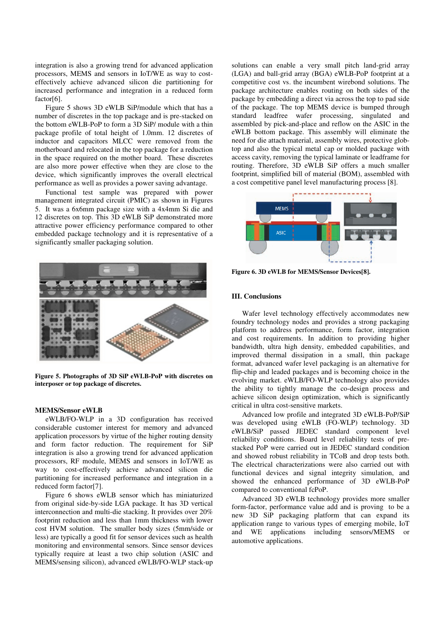integration is also a growing trend for advanced application processors, MEMS and sensors in IoT/WE as way to costeffectively achieve advanced silicon die partitioning for increased performance and integration in a reduced form factor[6].

Figure 5 shows 3D eWLB SiP/module which that has a number of discretes in the top package and is pre-stacked on the bottom eWLB-PoP to form a 3D SiP/ module with a thin package profile of total height of 1.0mm. 12 discretes of inductor and capacitors MLCC were removed from the motherboard and relocated in the top package for a reduction in the space required on the mother board. These discretes are also more power effective when they are close to the device, which significantly improves the overall electrical performance as well as provides a power saving advantage.

Functional test sample was prepared with power management integrated circuit (PMIC) as shown in Figures 5. It was a 6x6mm package size with a 4x4mm Si die and 12 discretes on top. This 3D eWLB SiP demonstrated more attractive power efficiency performance compared to other embedded package technology and it is representative of a significantly smaller packaging solution.



**Figure 5. Photographs of 3D SiP eWLB-PoP with discretes on interposer or top package of discretes.** 

# **MEMS/Sensor eWLB**

eWLB/FO-WLP in a 3D configuration has received considerable customer interest for memory and advanced application processors by virtue of the higher routing density and form factor reduction. The requirement for SiP integration is also a growing trend for advanced application processors, RF module, MEMS and sensors in IoT/WE as way to cost-effectively achieve advanced silicon die partitioning for increased performance and integration in a reduced form factor[7].

Figure 6 shows eWLB sensor which has miniaturized from original side-by-side LGA package. It has 3D vertical interconnection and multi-die stacking. It provides over 20% footprint reduction and less than 1mm thickness with lower cost HVM solution. The smaller body sizes (5mm/side or less) are typically a good fit for sensor devices such as health monitoring and environmental sensors. Since sensor devices typically require at least a two chip solution (ASIC and MEMS/sensing silicon), advanced eWLB/FO-WLP stack-up

solutions can enable a very small pitch land-grid array (LGA) and ball-grid array (BGA) eWLB-PoP footprint at a competitive cost vs. the incumbent wirebond solutions. The package architecture enables routing on both sides of the package by embedding a direct via across the top to pad side of the package. The top MEMS device is bumped through standard leadfree wafer processing, singulated and assembled by pick-and-place and reflow on the ASIC in the eWLB bottom package. This assembly will eliminate the need for die attach material, assembly wires, protective globtop and also the typical metal cap or molded package with access cavity, removing the typical laminate or leadframe for routing. Therefore, 3D eWLB SiP offers a much smaller footprint, simplified bill of material (BOM), assembled with a cost competitive panel level manufacturing process [8].



**Figure 6. 3D eWLB for MEMS/Sensor Devices[8].**

#### **III. Conclusions**

Wafer level technology effectively accommodates new foundry technology nodes and provides a strong packaging platform to address performance, form factor, integration and cost requirements. In addition to providing higher bandwidth, ultra high density, embedded capabilities, and improved thermal dissipation in a small, thin package format, advanced wafer level packaging is an alternative for flip-chip and leaded packages and is becoming choice in the evolving market. eWLB/FO-WLP technology also provides the ability to tightly manage the co-design process and achieve silicon design optimization, which is significantly critical in ultra cost-sensitive markets.

Advanced low profile and integrated 3D eWLB-PoP/SiP was developed using eWLB (FO-WLP) technology. 3D eWLB/SiP passed JEDEC standard component level reliability conditions. Board level reliability tests of prestacked PoP were carried out in JEDEC standard condition and showed robust reliability in TCoB and drop tests both. The electrical characterizations were also carried out with functional devices and signal integrity simulation, and showed the enhanced performance of 3D eWLB-PoP compared to conventional fcPoP.

Advanced 3D eWLB technology provides more smaller form-factor, performance value add and is proving to be a new 3D SiP packaging platform that can expand its application range to various types of emerging mobile, IoT and WE applications including sensors/MEMS or automotive applications.